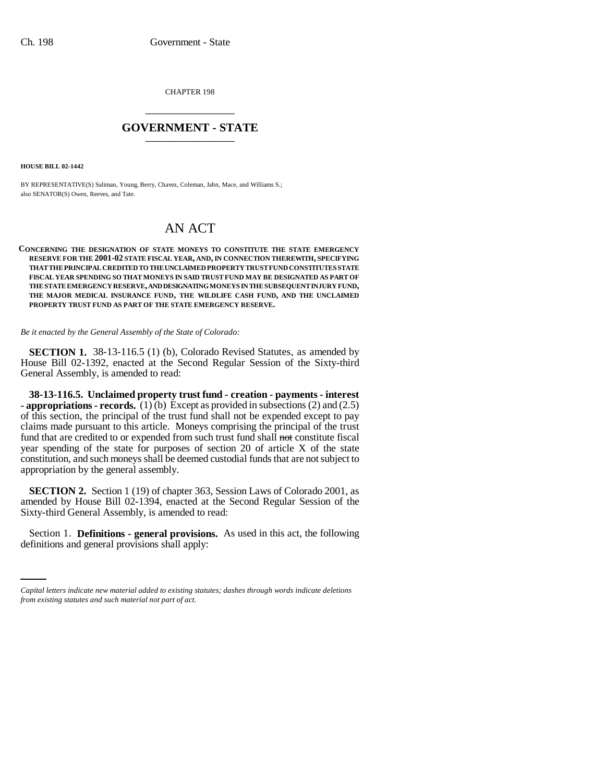CHAPTER 198 \_\_\_\_\_\_\_\_\_\_\_\_\_\_\_

## **GOVERNMENT - STATE** \_\_\_\_\_\_\_\_\_\_\_\_\_\_\_

**HOUSE BILL 02-1442**

BY REPRESENTATIVE(S) Saliman, Young, Berry, Chavez, Coleman, Jahn, Mace, and Williams S.; also SENATOR(S) Owen, Reeves, and Tate.

## AN ACT

## **CONCERNING THE DESIGNATION OF STATE MONEYS TO CONSTITUTE THE STATE EMERGENCY RESERVE FOR THE 2001-02 STATE FISCAL YEAR, AND, IN CONNECTION THEREWITH, SPECIFYING THAT THE PRINCIPAL CREDITED TO THE UNCLAIMED PROPERTY TRUST FUND CONSTITUTES STATE FISCAL YEAR SPENDING SO THAT MONEYS IN SAID TRUST FUND MAY BE DESIGNATED AS PART OF THE STATE EMERGENCY RESERVE, AND DESIGNATING MONEYS IN THE SUBSEQUENT INJURY FUND, THE MAJOR MEDICAL INSURANCE FUND, THE WILDLIFE CASH FUND, AND THE UNCLAIMED PROPERTY TRUST FUND AS PART OF THE STATE EMERGENCY RESERVE.**

*Be it enacted by the General Assembly of the State of Colorado:*

**SECTION 1.** 38-13-116.5 (1) (b), Colorado Revised Statutes, as amended by House Bill 02-1392, enacted at the Second Regular Session of the Sixty-third General Assembly, is amended to read:

**38-13-116.5. Unclaimed property trust fund - creation - payments - interest - appropriations - records.** (1) (b) Except as provided in subsections (2) and (2.5) of this section, the principal of the trust fund shall not be expended except to pay claims made pursuant to this article. Moneys comprising the principal of the trust fund that are credited to or expended from such trust fund shall not constitute fiscal year spending of the state for purposes of section 20 of article X of the state constitution, and such moneys shall be deemed custodial funds that are not subject to appropriation by the general assembly.

**SECTION 2.** Section 1 (19) of chapter 363, Session Laws of Colorado 2001, as amended by House Bill 02-1394, enacted at the Second Regular Session of the Sixty-third General Assembly, is amended to read:

Section 1. **Definitions - general provisions.** As used in this act, the following definitions and general provisions shall apply:

*Capital letters indicate new material added to existing statutes; dashes through words indicate deletions from existing statutes and such material not part of act.*